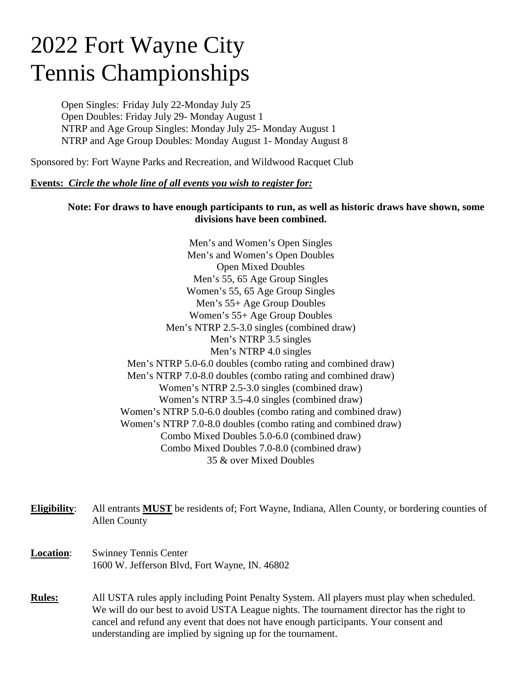# 2022 Fort Wayne City Tennis Championships

Open Singles: Friday July 22-Monday July 25 Open Doubles: Friday July 29- Monday August 1 NTRP and Age Group Singles: Monday July 25- Monday August 1 NTRP and Age Group Doubles: Monday August 1- Monday August 8

Sponsored by: Fort Wayne Parks and Recreation, and Wildwood Racquet Club

## **Events:** *Circle the whole line of all events you wish to register for:*

## **Note: For draws to have enough participants to run, as well as historic draws have shown, some divisions have been combined.**

Men's and Women's Open Singles Men's and Women's Open Doubles Open Mixed Doubles Men's 55, 65 Age Group Singles Women's 55, 65 Age Group Singles Men's 55+ Age Group Doubles Women's 55+ Age Group Doubles Men's NTRP 2.5-3.0 singles (combined draw) Men's NTRP 3.5 singles Men's NTRP 4.0 singles Men's NTRP 5.0-6.0 doubles (combo rating and combined draw) Men's NTRP 7.0-8.0 doubles (combo rating and combined draw) Women's NTRP 2.5-3.0 singles (combined draw) Women's NTRP 3.5-4.0 singles (combined draw) Women's NTRP 5.0-6.0 doubles (combo rating and combined draw) Women's NTRP 7.0-8.0 doubles (combo rating and combined draw) Combo Mixed Doubles 5.0-6.0 (combined draw) Combo Mixed Doubles 7.0-8.0 (combined draw) 35 & over Mixed Doubles

**Eligibility**: All entrants **MUST** be residents of; Fort Wayne, Indiana, Allen County, or bordering counties of Allen County

- **Location**: Swinney Tennis Center 1600 W. Jefferson Blvd, Fort Wayne, IN. 46802
- **Rules:** All USTA rules apply including Point Penalty System. All players must play when scheduled. We will do our best to avoid USTA League nights. The tournament director has the right to cancel and refund any event that does not have enough participants. Your consent and understanding are implied by signing up for the tournament.